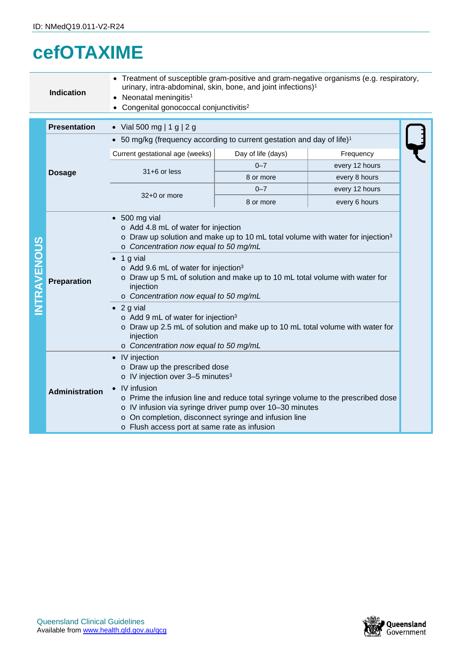## **cefOTAXIME**

|                    | • Treatment of susceptible gram-positive and gram-negative organisms (e.g. respiratory,<br>urinary, intra-abdominal, skin, bone, and joint infections) <sup>1</sup><br><b>Indication</b><br>• Neonatal meningitis <sup>1</sup><br>• Congenital gonococcal conjunctivitis <sup>2</sup> |                                                                                                                                                                                                                                                                                                                                                                                                                                                                                                                                                                                                                                         |                    |                |  |  |
|--------------------|---------------------------------------------------------------------------------------------------------------------------------------------------------------------------------------------------------------------------------------------------------------------------------------|-----------------------------------------------------------------------------------------------------------------------------------------------------------------------------------------------------------------------------------------------------------------------------------------------------------------------------------------------------------------------------------------------------------------------------------------------------------------------------------------------------------------------------------------------------------------------------------------------------------------------------------------|--------------------|----------------|--|--|
|                    | <b>Presentation</b>                                                                                                                                                                                                                                                                   | • Vial 500 mg   1 g   2 g                                                                                                                                                                                                                                                                                                                                                                                                                                                                                                                                                                                                               |                    |                |  |  |
|                    |                                                                                                                                                                                                                                                                                       | • 50 mg/kg (frequency according to current gestation and day of life) <sup>1</sup>                                                                                                                                                                                                                                                                                                                                                                                                                                                                                                                                                      |                    |                |  |  |
|                    |                                                                                                                                                                                                                                                                                       | Current gestational age (weeks)                                                                                                                                                                                                                                                                                                                                                                                                                                                                                                                                                                                                         | Day of life (days) | Frequency      |  |  |
|                    |                                                                                                                                                                                                                                                                                       | $31+6$ or less                                                                                                                                                                                                                                                                                                                                                                                                                                                                                                                                                                                                                          | $0 - 7$            | every 12 hours |  |  |
|                    | <b>Dosage</b>                                                                                                                                                                                                                                                                         |                                                                                                                                                                                                                                                                                                                                                                                                                                                                                                                                                                                                                                         | 8 or more          | every 8 hours  |  |  |
|                    |                                                                                                                                                                                                                                                                                       | 32+0 or more                                                                                                                                                                                                                                                                                                                                                                                                                                                                                                                                                                                                                            | $0 - 7$            | every 12 hours |  |  |
|                    |                                                                                                                                                                                                                                                                                       |                                                                                                                                                                                                                                                                                                                                                                                                                                                                                                                                                                                                                                         | 8 or more          | every 6 hours  |  |  |
| <b>INTRAVENOUS</b> | <b>Preparation</b>                                                                                                                                                                                                                                                                    | $\bullet$ 500 mg vial<br>o Add 4.8 mL of water for injection<br>o Draw up solution and make up to 10 mL total volume with water for injection <sup>3</sup><br>o Concentration now equal to 50 mg/mL<br>$\bullet$ 1 g vial<br>o Add 9.6 mL of water for injection <sup>3</sup><br>o Draw up 5 mL of solution and make up to 10 mL total volume with water for<br>injection<br>o Concentration now equal to 50 mg/mL<br>$\bullet$ 2 g vial<br>$\circ$ Add 9 mL of water for injection <sup>3</sup><br>o Draw up 2.5 mL of solution and make up to 10 mL total volume with water for<br>injection<br>o Concentration now equal to 50 mg/mL |                    |                |  |  |
|                    | <b>Administration</b>                                                                                                                                                                                                                                                                 | • IV injection<br>o Draw up the prescribed dose<br>o IV injection over 3-5 minutes <sup>3</sup><br>• IV infusion<br>o Prime the infusion line and reduce total syringe volume to the prescribed dose<br>o IV infusion via syringe driver pump over 10-30 minutes<br>o On completion, disconnect syringe and infusion line<br>o Flush access port at same rate as infusion                                                                                                                                                                                                                                                               |                    |                |  |  |

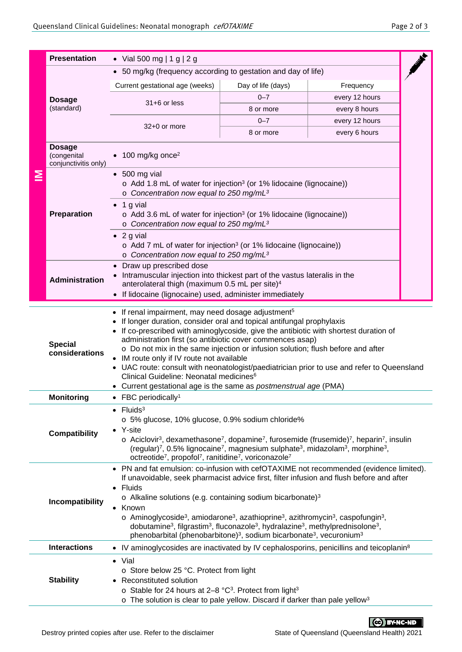| Page 2 of 3 |  |  |  |
|-------------|--|--|--|
|-------------|--|--|--|

|                                                                                                                                                                                                                                                                                                                                                                                                                                                                                                                                                                                                                                                                                                                              | <b>Presentation</b>                                                                                                                                                                                                                                                                                                                                                                                                                                                                                                                                                                                                                                                                     | • Vial 500 mg   1 g   2 g                                                                                                                                                                                                                                                                                                                                         |           |                |  |  |
|------------------------------------------------------------------------------------------------------------------------------------------------------------------------------------------------------------------------------------------------------------------------------------------------------------------------------------------------------------------------------------------------------------------------------------------------------------------------------------------------------------------------------------------------------------------------------------------------------------------------------------------------------------------------------------------------------------------------------|-----------------------------------------------------------------------------------------------------------------------------------------------------------------------------------------------------------------------------------------------------------------------------------------------------------------------------------------------------------------------------------------------------------------------------------------------------------------------------------------------------------------------------------------------------------------------------------------------------------------------------------------------------------------------------------------|-------------------------------------------------------------------------------------------------------------------------------------------------------------------------------------------------------------------------------------------------------------------------------------------------------------------------------------------------------------------|-----------|----------------|--|--|
|                                                                                                                                                                                                                                                                                                                                                                                                                                                                                                                                                                                                                                                                                                                              | • 50 mg/kg (frequency according to gestation and day of life)                                                                                                                                                                                                                                                                                                                                                                                                                                                                                                                                                                                                                           |                                                                                                                                                                                                                                                                                                                                                                   |           |                |  |  |
| ≧                                                                                                                                                                                                                                                                                                                                                                                                                                                                                                                                                                                                                                                                                                                            | <b>Dosage</b><br>(standard)                                                                                                                                                                                                                                                                                                                                                                                                                                                                                                                                                                                                                                                             | Current gestational age (weeks)<br>Day of life (days)<br>Frequency                                                                                                                                                                                                                                                                                                |           |                |  |  |
|                                                                                                                                                                                                                                                                                                                                                                                                                                                                                                                                                                                                                                                                                                                              |                                                                                                                                                                                                                                                                                                                                                                                                                                                                                                                                                                                                                                                                                         |                                                                                                                                                                                                                                                                                                                                                                   | $0 - 7$   | every 12 hours |  |  |
|                                                                                                                                                                                                                                                                                                                                                                                                                                                                                                                                                                                                                                                                                                                              |                                                                                                                                                                                                                                                                                                                                                                                                                                                                                                                                                                                                                                                                                         | 31+6 or less                                                                                                                                                                                                                                                                                                                                                      | 8 or more | every 8 hours  |  |  |
|                                                                                                                                                                                                                                                                                                                                                                                                                                                                                                                                                                                                                                                                                                                              |                                                                                                                                                                                                                                                                                                                                                                                                                                                                                                                                                                                                                                                                                         |                                                                                                                                                                                                                                                                                                                                                                   | $0 - 7$   | every 12 hours |  |  |
|                                                                                                                                                                                                                                                                                                                                                                                                                                                                                                                                                                                                                                                                                                                              |                                                                                                                                                                                                                                                                                                                                                                                                                                                                                                                                                                                                                                                                                         | 32+0 or more                                                                                                                                                                                                                                                                                                                                                      | 8 or more | every 6 hours  |  |  |
|                                                                                                                                                                                                                                                                                                                                                                                                                                                                                                                                                                                                                                                                                                                              | <b>Dosage</b><br>(congenital<br>conjunctivitis only)                                                                                                                                                                                                                                                                                                                                                                                                                                                                                                                                                                                                                                    | 100 mg/kg once <sup>2</sup>                                                                                                                                                                                                                                                                                                                                       |           |                |  |  |
|                                                                                                                                                                                                                                                                                                                                                                                                                                                                                                                                                                                                                                                                                                                              | Preparation                                                                                                                                                                                                                                                                                                                                                                                                                                                                                                                                                                                                                                                                             | $\bullet$ 500 mg vial<br>o Add 1.8 mL of water for injection <sup>3</sup> (or 1% lidocaine (lignocaine))<br>o Concentration now equal to 250 mg/mL <sup>3</sup><br>$\bullet$ 1 g vial<br>$\circ$ Add 3.6 mL of water for injection <sup>3</sup> (or 1% lidocaine (lignocaine))<br>$\circ$ Concentration now equal to 250 mg/mL <sup>3</sup><br>$\bullet$ 2 g vial |           |                |  |  |
|                                                                                                                                                                                                                                                                                                                                                                                                                                                                                                                                                                                                                                                                                                                              |                                                                                                                                                                                                                                                                                                                                                                                                                                                                                                                                                                                                                                                                                         | o Add 7 mL of water for injection <sup>3</sup> (or 1% lidocaine (lignocaine))<br>$\circ$ Concentration now equal to 250 mg/mL <sup>3</sup><br>• Draw up prescribed dose                                                                                                                                                                                           |           |                |  |  |
| Intramuscular injection into thickest part of the vastus lateralis in the<br><b>Administration</b><br>anterolateral thigh (maximum 0.5 mL per site) <sup>4</sup><br>• If lidocaine (lignocaine) used, administer immediately                                                                                                                                                                                                                                                                                                                                                                                                                                                                                                 |                                                                                                                                                                                                                                                                                                                                                                                                                                                                                                                                                                                                                                                                                         |                                                                                                                                                                                                                                                                                                                                                                   |           |                |  |  |
|                                                                                                                                                                                                                                                                                                                                                                                                                                                                                                                                                                                                                                                                                                                              | • If renal impairment, may need dosage adjustment <sup>5</sup><br>If longer duration, consider oral and topical antifungal prophylaxis<br>If co-prescribed with aminoglycoside, give the antibiotic with shortest duration of<br>administration first (so antibiotic cover commences asap)<br><b>Special</b><br>o Do not mix in the same injection or infusion solution; flush before and after<br>considerations<br>• IM route only if IV route not available<br>• UAC route: consult with neonatologist/paediatrician prior to use and refer to Queensland<br>Clinical Guideline: Neonatal medicines <sup>6</sup><br>• Current gestational age is the same as postmenstrual age (PMA) |                                                                                                                                                                                                                                                                                                                                                                   |           |                |  |  |
|                                                                                                                                                                                                                                                                                                                                                                                                                                                                                                                                                                                                                                                                                                                              | <b>Monitoring</b>                                                                                                                                                                                                                                                                                                                                                                                                                                                                                                                                                                                                                                                                       | $\bullet$ FBC periodically <sup>1</sup>                                                                                                                                                                                                                                                                                                                           |           |                |  |  |
|                                                                                                                                                                                                                                                                                                                                                                                                                                                                                                                                                                                                                                                                                                                              | $\bullet$ Fluids <sup>3</sup><br>o 5% glucose, 10% glucose, 0.9% sodium chloride%<br>Y-site<br><b>Compatibility</b><br>$\circ$ Aciclovir <sup>3</sup> , dexamethasone <sup>7</sup> , dopamine <sup>7</sup> , furosemide (frusemide) <sup>7</sup> , heparin <sup>7</sup> , insulin<br>(regular) <sup>7</sup> , 0.5% lignocaine <sup>7</sup> , magnesium sulphate <sup>3</sup> , midazolam <sup>3</sup> , morphine <sup>3</sup> ,<br>octreotide <sup>7</sup> , propofol <sup>7</sup> , ranitidine <sup>7</sup> , voriconazole <sup>7</sup>                                                                                                                                                |                                                                                                                                                                                                                                                                                                                                                                   |           |                |  |  |
| • PN and fat emulsion: co-infusion with cefOTAXIME not recommended (evidence limited).<br>If unavoidable, seek pharmacist advice first, filter infusion and flush before and after<br>• Fluids<br>$\circ$ Alkaline solutions (e.g. containing sodium bicarbonate) <sup>3</sup><br>Incompatibility<br>• Known<br>$\circ$ Aminoglycoside <sup>3</sup> , amiodarone <sup>3</sup> , azathioprine <sup>3</sup> , azithromycin <sup>3</sup> , caspofungin <sup>3</sup> ,<br>dobutamine <sup>3</sup> , filgrastim <sup>3</sup> , fluconazole <sup>3</sup> , hydralazine <sup>3</sup> , methylprednisolone <sup>3</sup> ,<br>phenobarbital (phenobarbitone) <sup>3</sup> , sodium bicarbonate <sup>3</sup> , vecuronium <sup>3</sup> |                                                                                                                                                                                                                                                                                                                                                                                                                                                                                                                                                                                                                                                                                         |                                                                                                                                                                                                                                                                                                                                                                   |           |                |  |  |
|                                                                                                                                                                                                                                                                                                                                                                                                                                                                                                                                                                                                                                                                                                                              | <b>Interactions</b>                                                                                                                                                                                                                                                                                                                                                                                                                                                                                                                                                                                                                                                                     | • IV aminoglycosides are inactivated by IV cephalosporins, penicillins and teicoplanin <sup>8</sup>                                                                                                                                                                                                                                                               |           |                |  |  |
|                                                                                                                                                                                                                                                                                                                                                                                                                                                                                                                                                                                                                                                                                                                              | <b>Stability</b>                                                                                                                                                                                                                                                                                                                                                                                                                                                                                                                                                                                                                                                                        | • Vial<br>o Store below 25 °C. Protect from light<br>Reconstituted solution<br>$\bullet$<br>o Stable for 24 hours at 2-8 °C <sup>3</sup> . Protect from light <sup>3</sup><br>o The solution is clear to pale yellow. Discard if darker than pale yellow <sup>3</sup>                                                                                             |           |                |  |  |